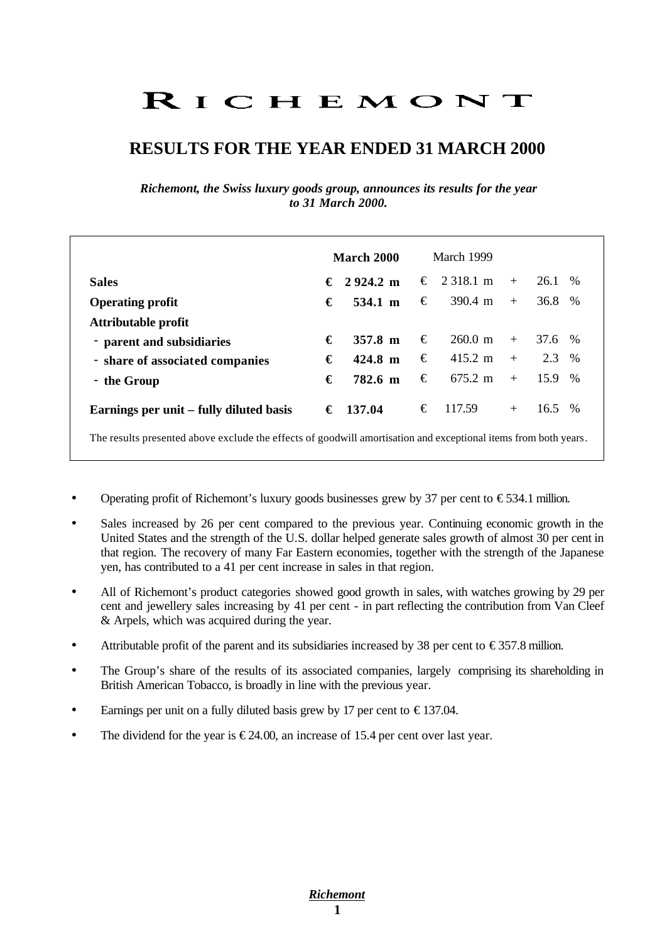# RICHEMONT

# **RESULTS FOR THE YEAR ENDED 31 MARCH 2000**

*Richemont, the Swiss luxury goods group, announces its results for the year to 31 March 2000.* 

|                                                                                                                 |   | March 2000   |   | March 1999        |     |          |      |
|-----------------------------------------------------------------------------------------------------------------|---|--------------|---|-------------------|-----|----------|------|
| <b>Sales</b>                                                                                                    |   | € 2924.2 m   |   | € 2.318.1 m       | $+$ | 26.1     | $\%$ |
| <b>Operating profit</b>                                                                                         | € | 534.1 m      | € | 390.4 m           | $+$ | 36.8 %   |      |
| Attributable profit                                                                                             |   |              |   |                   |     |          |      |
| - parent and subsidiaries                                                                                       | € | $357.8 \; m$ | € | $260.0 \text{ m}$ | $+$ | 37.6 %   |      |
| - share of associated companies                                                                                 | € | 424.8 m      | € | $415.2 \text{ m}$ | $+$ | 2.3 %    |      |
| - the Group                                                                                                     | € | 782.6 m      | € | $675.2 \text{ m}$ | $+$ | $15.9\%$ |      |
| Earnings per unit – fully diluted basis                                                                         | € | 137.04       | € | 117.59            | $+$ | 16.5     | $\%$ |
| The results presented above exclude the effects of goodwill amortisation and exceptional items from both years. |   |              |   |                   |     |          |      |

- Operating profit of Richemont's luxury goods businesses grew by 37 per cent to  $\epsilon$ 534.1 million.
- Sales increased by 26 per cent compared to the previous year. Continuing economic growth in the United States and the strength of the U.S. dollar helped generate sales growth of almost 30 per cent in that region. The recovery of many Far Eastern economies, together with the strength of the Japanese yen, has contributed to a 41 per cent increase in sales in that region.
- All of Richemont's product categories showed good growth in sales, with watches growing by 29 per cent and jewellery sales increasing by 41 per cent - in part reflecting the contribution from Van Cleef & Arpels, which was acquired during the year.
- Attributable profit of the parent and its subsidiaries increased by 38 per cent to  $\epsilon$ 357.8 million.
- The Group's share of the results of its associated companies, largely comprising its shareholding in British American Tobacco, is broadly in line with the previous year.
- Earnings per unit on a fully diluted basis grew by 17 per cent to  $\epsilon$ 137.04.
- The dividend for the year is  $\epsilon$ 24.00, an increase of 15.4 per cent over last year.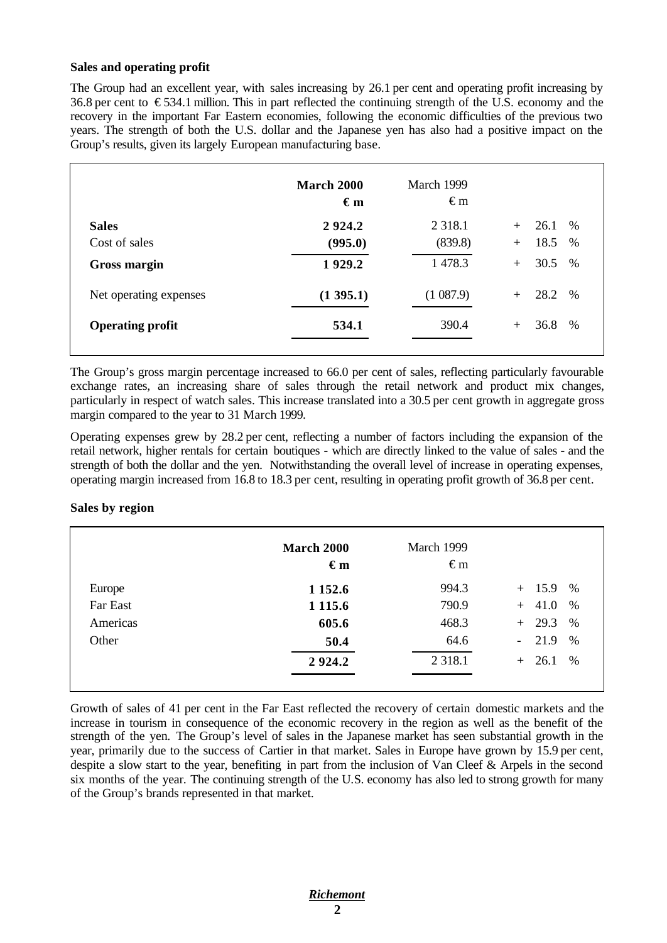#### **Sales and operating profit**

The Group had an excellent year, with sales increasing by 26.1 per cent and operating profit increasing by 36.8 per cent to  $\epsilon$ 534.1 million. This in part reflected the continuing strength of the U.S. economy and the recovery in the important Far Eastern economies, following the economic difficulties of the previous two years. The strength of both the U.S. dollar and the Japanese yen has also had a positive impact on the Group's results, given its largely European manufacturing base.

|                         | <b>March 2000</b><br>$\epsilon_{m}$ | March 1999<br>$\epsilon$ m |                     |
|-------------------------|-------------------------------------|----------------------------|---------------------|
| <b>Sales</b>            | 2924.2                              | 2 3 1 8 .1                 | 26.1<br>$\%$<br>$+$ |
| Cost of sales           | (995.0)                             | (839.8)                    | 18.5<br>$\%$<br>$+$ |
| Gross margin            | 1929.2                              | 1 478.3                    | 30.5<br>$\%$<br>$+$ |
| Net operating expenses  | (1395.1)                            | (1087.9)                   | 28.2 %<br>$+$       |
| <b>Operating profit</b> | 534.1                               | 390.4                      | 36.8<br>%<br>$+$    |
|                         |                                     |                            |                     |

The Group's gross margin percentage increased to 66.0 per cent of sales, reflecting particularly favourable exchange rates, an increasing share of sales through the retail network and product mix changes, particularly in respect of watch sales. This increase translated into a 30.5 per cent growth in aggregate gross margin compared to the year to 31 March 1999.

Operating expenses grew by 28.2 per cent, reflecting a number of factors including the expansion of the retail network, higher rentals for certain boutiques - which are directly linked to the value of sales - and the strength of both the dollar and the yen. Notwithstanding the overall level of increase in operating expenses, operating margin increased from 16.8 to 18.3 per cent, resulting in operating profit growth of 36.8 per cent.

#### **Sales by region**

|          | March 2000<br>$\epsilon_{m}$ | March 1999<br>$\epsilon$ m |                                     |
|----------|------------------------------|----------------------------|-------------------------------------|
| Europe   | 1 1 5 2 . 6                  | 994.3                      | $+$ 15.9<br>$\%$                    |
| Far East | 1 1 1 5 . 6                  | 790.9                      | $+ 41.0$<br>$\%$                    |
| Americas | 605.6                        | 468.3                      | $+29.3$<br>%                        |
| Other    | 50.4                         | 64.6                       | 21.9<br>$\%$<br>$\omega_{\rm{max}}$ |
|          | 2924.2                       | 2 3 1 8 .1                 | $+26.1$<br>%                        |

Growth of sales of 41 per cent in the Far East reflected the recovery of certain domestic markets and the increase in tourism in consequence of the economic recovery in the region as well as the benefit of the strength of the yen. The Group's level of sales in the Japanese market has seen substantial growth in the year, primarily due to the success of Cartier in that market. Sales in Europe have grown by 15.9 per cent, despite a slow start to the year, benefiting in part from the inclusion of Van Cleef & Arpels in the second six months of the year. The continuing strength of the U.S. economy has also led to strong growth for many of the Group's brands represented in that market.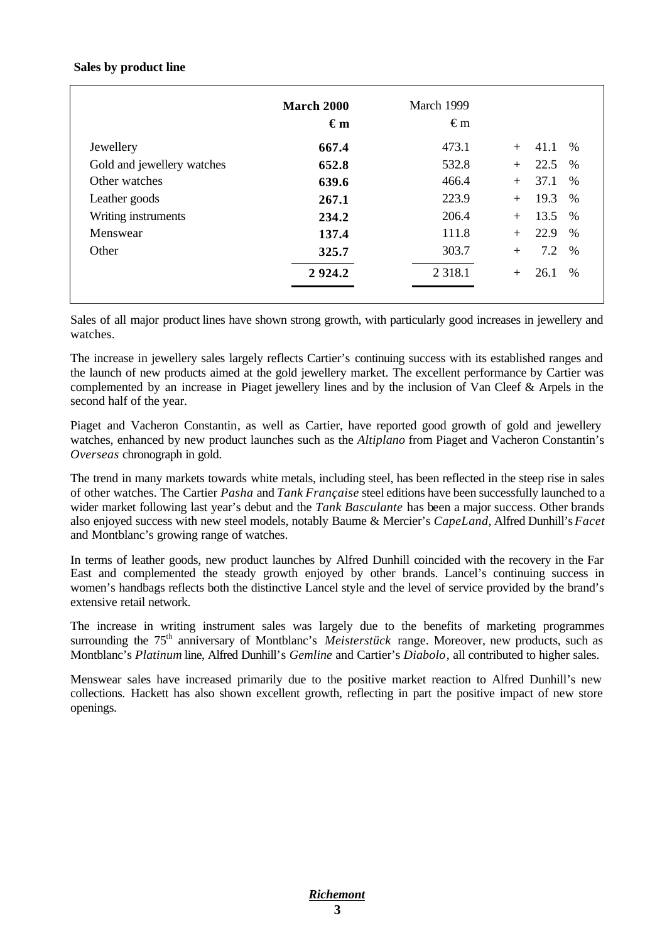#### **Sales by product line**

|                            | <b>March 2000</b><br>$\epsilon_{m}$ | March 1999<br>€m |                        |
|----------------------------|-------------------------------------|------------------|------------------------|
| Jewellery                  | 667.4                               | 473.1            | 41.1<br>$\%$<br>$+$    |
| Gold and jewellery watches | 652.8                               | 532.8            | 22.5<br>$\%$<br>$+$    |
| Other watches              | 639.6                               | 466.4            | 37.1<br>$\%$<br>$+$    |
| Leather goods              | 267.1                               | 223.9            | 19.3<br>$\%$<br>$+$    |
| Writing instruments        | 234.2                               | 206.4            | 13.5<br>$\%$<br>$+$    |
| Menswear                   | 137.4                               | 111.8            | 22.9<br>$\%$<br>$+$    |
| Other                      | 325.7                               | 303.7            | 7.2<br>$\%$<br>$+$     |
|                            | 2924.2                              | 2 3 1 8 .1       | 26.1<br>$\%$<br>$^{+}$ |

Sales of all major product lines have shown strong growth, with particularly good increases in jewellery and watches.

The increase in jewellery sales largely reflects Cartier's continuing success with its established ranges and the launch of new products aimed at the gold jewellery market. The excellent performance by Cartier was complemented by an increase in Piaget jewellery lines and by the inclusion of Van Cleef & Arpels in the second half of the year.

Piaget and Vacheron Constantin, as well as Cartier, have reported good growth of gold and jewellery watches, enhanced by new product launches such as the *Altiplano* from Piaget and Vacheron Constantin's *Overseas* chronograph in gold.

The trend in many markets towards white metals, including steel, has been reflected in the steep rise in sales of other watches. The Cartier *Pasha* and *Tank Française* steel editions have been successfully launched to a wider market following last year's debut and the *Tank Basculante* has been a major success. Other brands also enjoyed success with new steel models, notably Baume & Mercier's *CapeLand*, Alfred Dunhill's *Facet* and Montblanc's growing range of watches.

In terms of leather goods, new product launches by Alfred Dunhill coincided with the recovery in the Far East and complemented the steady growth enjoyed by other brands. Lancel's continuing success in women's handbags reflects both the distinctive Lancel style and the level of service provided by the brand's extensive retail network.

The increase in writing instrument sales was largely due to the benefits of marketing programmes surrounding the 75<sup>th</sup> anniversary of Montblanc's *Meisterstück* range. Moreover, new products, such as Montblanc's *Platinum* line, Alfred Dunhill's *Gemline* and Cartier's *Diabolo,* all contributed to higher sales.

Menswear sales have increased primarily due to the positive market reaction to Alfred Dunhill's new collections. Hackett has also shown excellent growth, reflecting in part the positive impact of new store openings.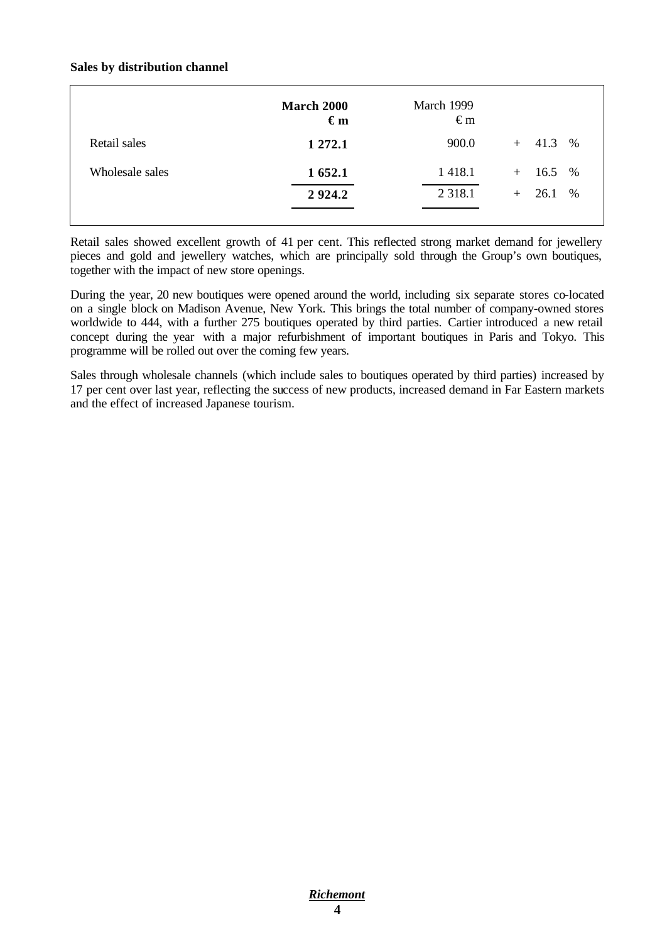#### **Sales by distribution channel**

|                 | March 2000<br>$\epsilon_{m}$ | March 1999<br>$\epsilon$ m |                 |
|-----------------|------------------------------|----------------------------|-----------------|
| Retail sales    | 1 272.1                      | 900.0                      | $+$ 41.3 %      |
| Wholesale sales | 1 652.1                      | 1 4 1 8 .1                 | $+$ 16.5 %      |
|                 | 2924.2                       | 2 3 1 8 .1                 | $\%$<br>$+26.1$ |
|                 |                              |                            |                 |

Retail sales showed excellent growth of 41 per cent. This reflected strong market demand for jewellery pieces and gold and jewellery watches, which are principally sold through the Group's own boutiques, together with the impact of new store openings.

During the year, 20 new boutiques were opened around the world, including six separate stores co-located on a single block on Madison Avenue, New York. This brings the total number of company-owned stores worldwide to 444, with a further 275 boutiques operated by third parties. Cartier introduced a new retail concept during the year with a major refurbishment of important boutiques in Paris and Tokyo. This programme will be rolled out over the coming few years.

Sales through wholesale channels (which include sales to boutiques operated by third parties) increased by 17 per cent over last year, reflecting the success of new products, increased demand in Far Eastern markets and the effect of increased Japanese tourism.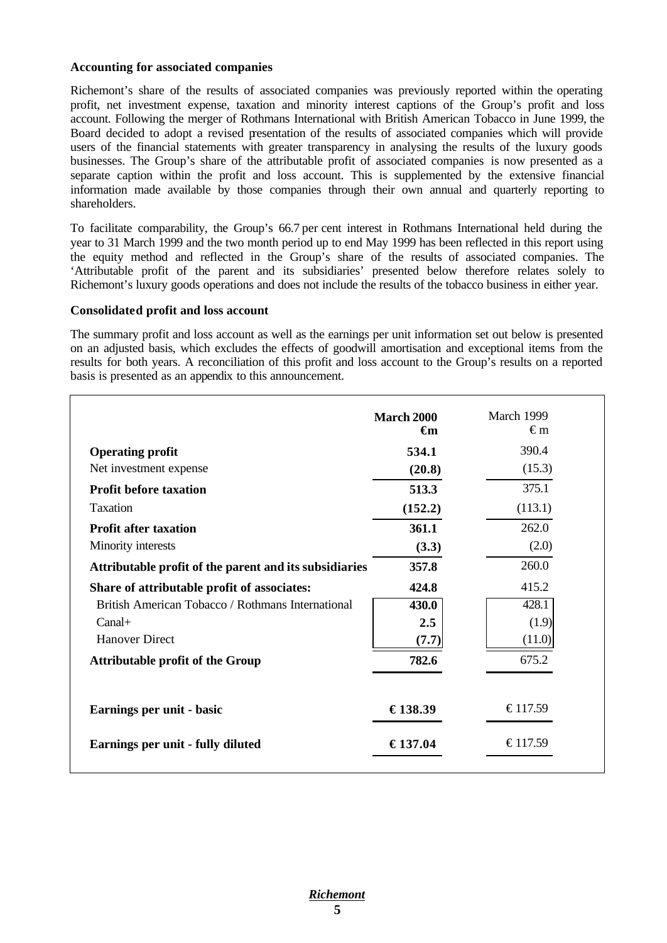#### **Accounting for associated companies**

Richemont's share of the results of associated companies was previously reported within the operating profit, net investment expense, taxation and minority interest captions of the Group's profit and loss account. Following the merger of Rothmans International with British American Tobacco in June 1999, the Board decided to adopt a revised presentation of the results of associated companies which will provide users of the financial statements with greater transparency in analysing the results of the luxury goods businesses. The Group's share of the attributable profit of associated companies is now presented as a separate caption within the profit and loss account. This is supplemented by the extensive financial information made available by those companies through their own annual and quarterly reporting to shareholders.

To facilitate comparability, the Group's 66.7 per cent interest in Rothmans International held during the year to 31 March 1999 and the two month period up to end May 1999 has been reflected in this report using the equity method and reflected in the Group's share of the results of associated companies. The 'Attributable profit of the parent and its subsidiaries' presented below therefore relates solely to Richemont's luxury goods operations and does not include the results of the tobacco business in either year.

#### **Consolidated profit and loss account**

The summary profit and loss account as well as the earnings per unit information set out below is presented on an adjusted basis, which excludes the effects of goodwill amortisation and exceptional items from the results for both years. A reconciliation of this profit and loss account to the Group's results on a reported basis is presented as an appendix to this announcement.

|                                                        | <b>March 2000</b><br>€m | March 1999<br>€m |
|--------------------------------------------------------|-------------------------|------------------|
| <b>Operating profit</b>                                | 534.1                   | 390.4            |
| Net investment expense                                 | (20.8)                  | (15.3)           |
| <b>Profit before taxation</b>                          | 513.3                   | 375.1            |
| Taxation                                               | (152.2)                 | (113.1)          |
| <b>Profit after taxation</b>                           | 361.1                   | 262.0            |
| Minority interests                                     | (3.3)                   | (2.0)            |
| Attributable profit of the parent and its subsidiaries | 357.8                   | 260.0            |
| Share of attributable profit of associates:            | 424.8                   | 415.2            |
| British American Tobacco / Rothmans International      | 430.0                   | 428.1            |
| $Canal+$                                               | 2.5                     | (1.9)            |
| <b>Hanover Direct</b>                                  | (7.7)                   | (11.0)           |
| <b>Attributable profit of the Group</b>                | 782.6                   | 675.2            |
| Earnings per unit - basic                              | €138.39                 | €117.59          |
| Earnings per unit - fully diluted                      | €137.04                 | €117.59          |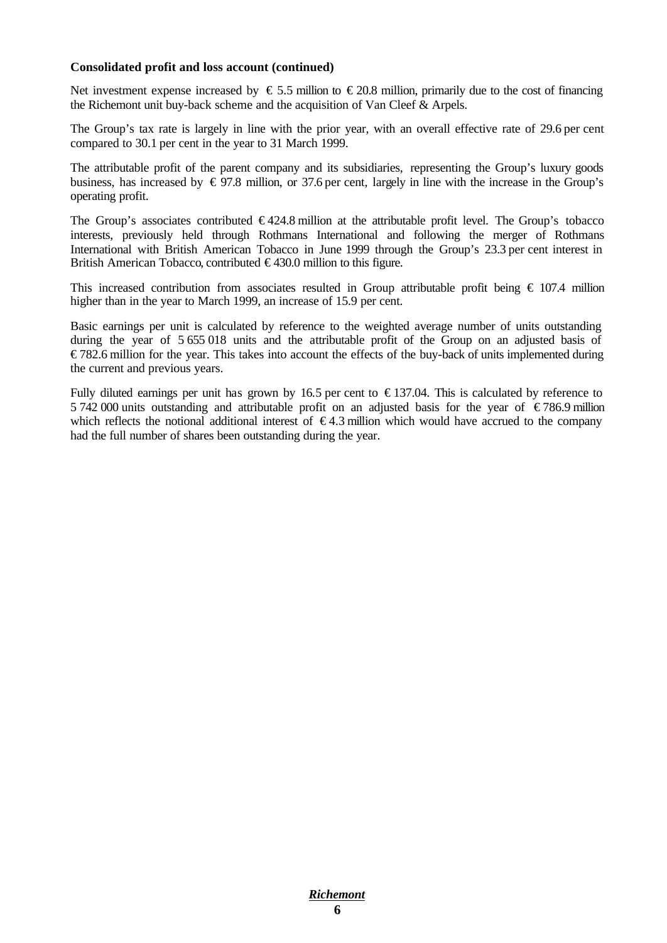#### **Consolidated profit and loss account (continued)**

Net investment expense increased by  $\epsilon$  5.5 million to  $\epsilon$  20.8 million, primarily due to the cost of financing the Richemont unit buy-back scheme and the acquisition of Van Cleef & Arpels.

The Group's tax rate is largely in line with the prior year, with an overall effective rate of 29.6 per cent compared to 30.1 per cent in the year to 31 March 1999.

The attributable profit of the parent company and its subsidiaries, representing the Group's luxury goods business, has increased by  $\epsilon$  97.8 million, or 37.6 per cent, largely in line with the increase in the Group's operating profit.

The Group's associates contributed  $\epsilon$ 424.8 million at the attributable profit level. The Group's tobacco interests, previously held through Rothmans International and following the merger of Rothmans International with British American Tobacco in June 1999 through the Group's 23.3 per cent interest in British American Tobacco, contributed  $\epsilon$ 430.0 million to this figure.

This increased contribution from associates resulted in Group attributable profit being  $\epsilon$  107.4 million higher than in the year to March 1999, an increase of 15.9 per cent.

Basic earnings per unit is calculated by reference to the weighted average number of units outstanding during the year of 5 655 018 units and the attributable profit of the Group on an adjusted basis of € 782.6 million for the year. This takes into account the effects of the buy-back of units implemented during the current and previous years.

Fully diluted earnings per unit has grown by 16.5 per cent to  $\epsilon$ 137.04. This is calculated by reference to 5 742 000 units outstanding and attributable profit on an adjusted basis for the year of  $\epsilon$ 786.9 million which reflects the notional additional interest of  $\epsilon$ 4.3 million which would have accrued to the company had the full number of shares been outstanding during the year.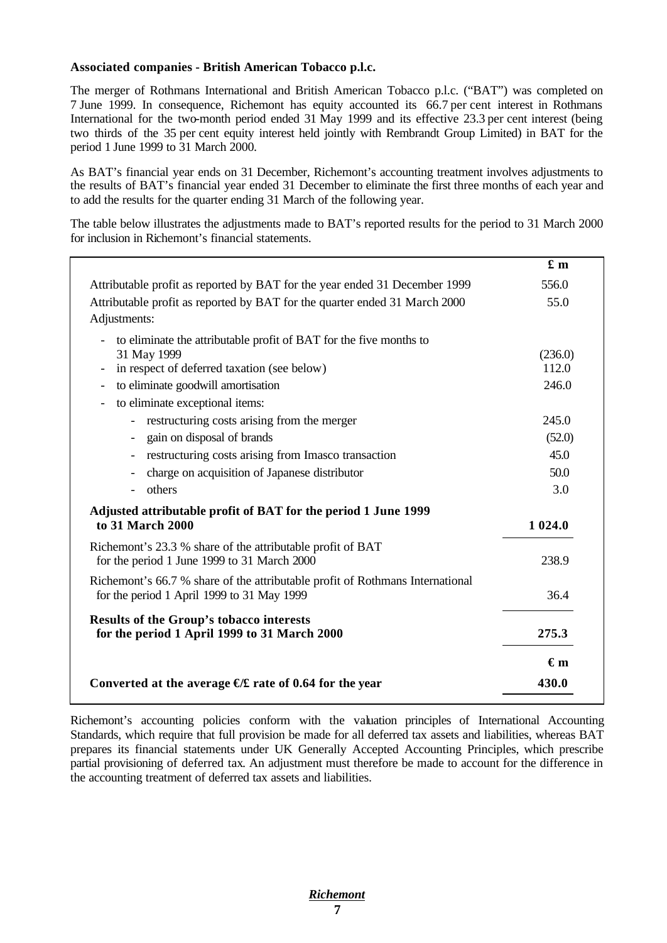#### **Associated companies - British American Tobacco p.l.c.**

The merger of Rothmans International and British American Tobacco p.l.c. ("BAT") was completed on 7 June 1999. In consequence, Richemont has equity accounted its 66.7 per cent interest in Rothmans International for the two-month period ended 31 May 1999 and its effective 23.3 per cent interest (being two thirds of the 35 per cent equity interest held jointly with Rembrandt Group Limited) in BAT for the period 1 June 1999 to 31 March 2000.

As BAT's financial year ends on 31 December, Richemont's accounting treatment involves adjustments to the results of BAT's financial year ended 31 December to eliminate the first three months of each year and to add the results for the quarter ending 31 March of the following year.

The table below illustrates the adjustments made to BAT's reported results for the period to 31 March 2000 for inclusion in Richemont's financial statements.

|                                                                                                                                                                                                                                | £m                        |
|--------------------------------------------------------------------------------------------------------------------------------------------------------------------------------------------------------------------------------|---------------------------|
| Attributable profit as reported by BAT for the year ended 31 December 1999                                                                                                                                                     | 556.0                     |
| Attributable profit as reported by BAT for the quarter ended 31 March 2000<br>Adjustments:                                                                                                                                     | 55.0                      |
| to eliminate the attributable profit of BAT for the five months to<br>31 May 1999<br>in respect of deferred taxation (see below)<br>$\overline{\phantom{a}}$<br>to eliminate goodwill amortisation<br>$\overline{\phantom{a}}$ | (236.0)<br>112.0<br>246.0 |
| to eliminate exceptional items:<br>$\overline{\phantom{a}}$                                                                                                                                                                    |                           |
| restructuring costs arising from the merger<br>$\overline{\phantom{a}}$<br>gain on disposal of brands                                                                                                                          | 245.0<br>(52.0)           |
| restructuring costs arising from Imasco transaction                                                                                                                                                                            | 45.0                      |
| charge on acquisition of Japanese distributor                                                                                                                                                                                  | 50.0                      |
| others                                                                                                                                                                                                                         | 3.0                       |
| Adjusted attributable profit of BAT for the period 1 June 1999<br>to 31 March 2000                                                                                                                                             | 1 0 24.0                  |
| Richemont's 23.3 % share of the attributable profit of BAT<br>for the period 1 June 1999 to 31 March 2000                                                                                                                      | 238.9                     |
| Richemont's 66.7 % share of the attributable profit of Rothmans International<br>for the period 1 April 1999 to 31 May 1999                                                                                                    | 36.4                      |
| Results of the Group's tobacco interests<br>for the period 1 April 1999 to 31 March 2000                                                                                                                                       | 275.3                     |
|                                                                                                                                                                                                                                | $\epsilon_{m}$            |
| Converted at the average $E$ rate of 0.64 for the year                                                                                                                                                                         | 430.0                     |

Richemont's accounting policies conform with the valuation principles of International Accounting Standards, which require that full provision be made for all deferred tax assets and liabilities, whereas BAT prepares its financial statements under UK Generally Accepted Accounting Principles, which prescribe partial provisioning of deferred tax. An adjustment must therefore be made to account for the difference in the accounting treatment of deferred tax assets and liabilities.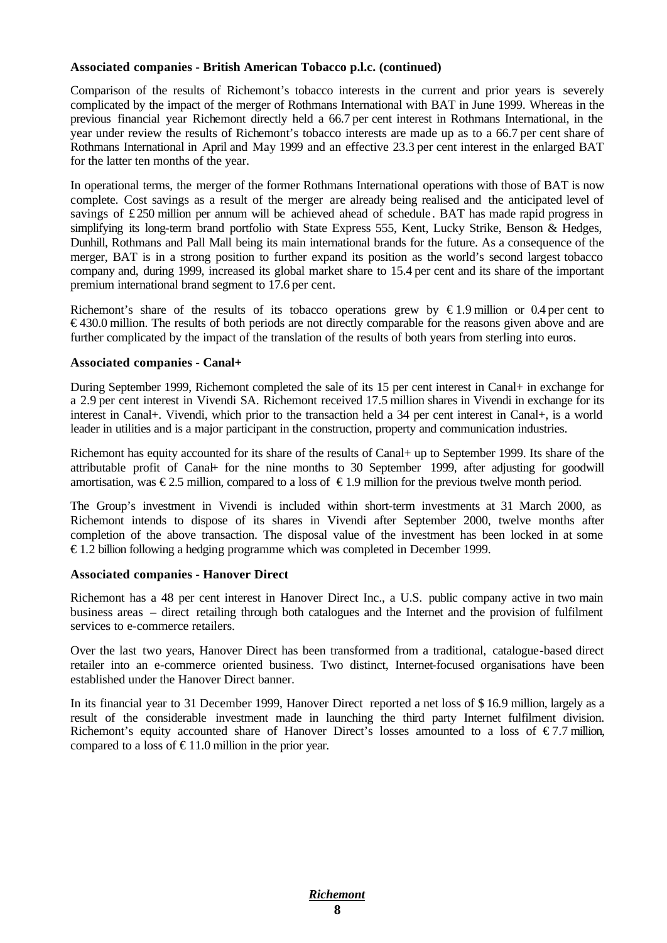#### **Associated companies - British American Tobacco p.l.c. (continued)**

Comparison of the results of Richemont's tobacco interests in the current and prior years is severely complicated by the impact of the merger of Rothmans International with BAT in June 1999. Whereas in the previous financial year Richemont directly held a 66.7 per cent interest in Rothmans International, in the year under review the results of Richemont's tobacco interests are made up as to a 66.7 per cent share of Rothmans International in April and May 1999 and an effective 23.3 per cent interest in the enlarged BAT for the latter ten months of the year.

In operational terms, the merger of the former Rothmans International operations with those of BAT is now complete. Cost savings as a result of the merger are already being realised and the anticipated level of savings of £ 250 million per annum will be achieved ahead of schedule . BAT has made rapid progress in simplifying its long-term brand portfolio with State Express 555, Kent, Lucky Strike, Benson & Hedges, Dunhill, Rothmans and Pall Mall being its main international brands for the future. As a consequence of the merger, BAT is in a strong position to further expand its position as the world's second largest tobacco company and, during 1999, increased its global market share to 15.4 per cent and its share of the important premium international brand segment to 17.6 per cent.

Richemont's share of the results of its tobacco operations grew by  $\epsilon$ 1.9 million or 0.4 per cent to € 430.0 million. The results of both periods are not directly comparable for the reasons given above and are further complicated by the impact of the translation of the results of both years from sterling into euros.

#### **Associated companies - Canal+**

During September 1999, Richemont completed the sale of its 15 per cent interest in Canal+ in exchange for a 2.9 per cent interest in Vivendi SA. Richemont received 17.5 million shares in Vivendi in exchange for its interest in Canal+. Vivendi, which prior to the transaction held a 34 per cent interest in Canal+, is a world leader in utilities and is a major participant in the construction, property and communication industries.

Richemont has equity accounted for its share of the results of Canal+ up to September 1999. Its share of the attributable profit of Canal+ for the nine months to 30 September 1999, after adjusting for goodwill amortisation, was  $\epsilon$ 2.5 million, compared to a loss of  $\epsilon$ 1.9 million for the previous twelve month period.

The Group's investment in Vivendi is included within short-term investments at 31 March 2000, as Richemont intends to dispose of its shares in Vivendi after September 2000, twelve months after completion of the above transaction. The disposal value of the investment has been locked in at some  $\epsilon$  1.2 billion following a hedging programme which was completed in December 1999.

#### **Associated companies - Hanover Direct**

Richemont has a 48 per cent interest in Hanover Direct Inc., a U.S. public company active in two main business areas – direct retailing through both catalogues and the Internet and the provision of fulfilment services to e-commerce retailers.

Over the last two years, Hanover Direct has been transformed from a traditional, catalogue-based direct retailer into an e-commerce oriented business. Two distinct, Internet-focused organisations have been established under the Hanover Direct banner.

In its financial year to 31 December 1999, Hanover Direct reported a net loss of \$ 16.9 million, largely as a result of the considerable investment made in launching the third party Internet fulfilment division. Richemont's equity accounted share of Hanover Direct's losses amounted to a loss of  $\epsilon$ 7.7 million, compared to a loss of  $\epsilon$ 11.0 million in the prior year.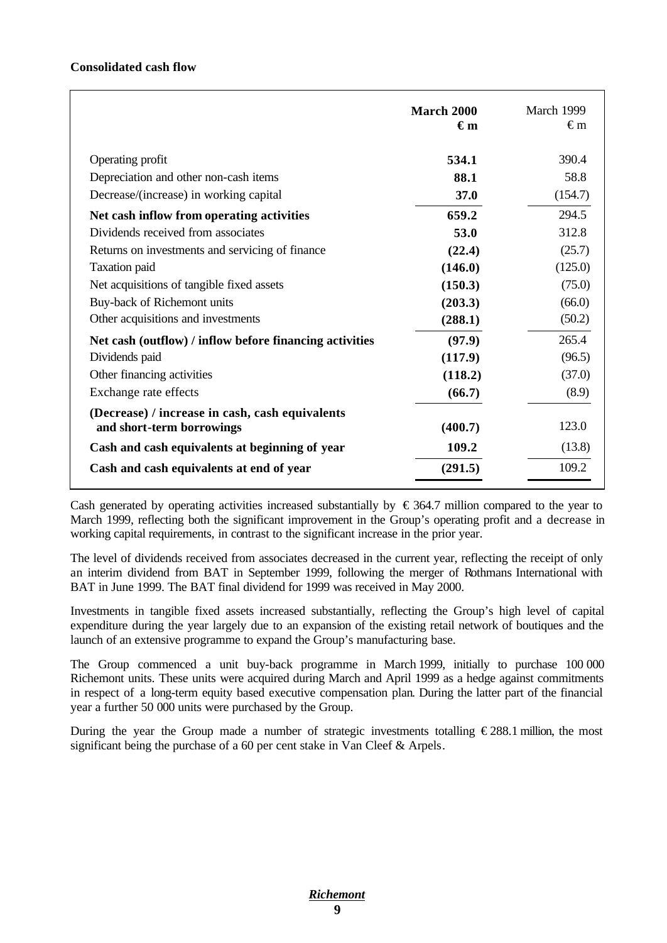#### **Consolidated cash flow**

| 390.4<br>Operating profit<br>534.1<br>58.8<br>Depreciation and other non-cash items<br>88.1<br>Decrease/(increase) in working capital<br>(154.7)<br>37.0<br>294.5<br>659.2<br>Net cash inflow from operating activities<br>Dividends received from associates<br>312.8<br>53.0<br>Returns on investments and servicing of finance<br>(25.7)<br>(22.4)<br>(125.0)<br><b>Taxation</b> paid<br>(146.0)<br>Net acquisitions of tangible fixed assets<br>(150.3)<br>(75.0)<br>Buy-back of Richemont units<br>(66.0)<br>(203.3)<br>Other acquisitions and investments<br>(50.2)<br>(288.1)<br>265.4<br>(97.9)<br>Net cash (outflow) / inflow before financing activities<br>Dividends paid<br>(96.5)<br>(117.9)<br>Other financing activities<br>(37.0)<br>(118.2)<br>Exchange rate effects<br>(8.9)<br>(66.7)<br>(Decrease) / increase in cash, cash equivalents<br>123.0<br>(400.7)<br>and short-term borrowings<br>(13.8)<br>109.2<br>Cash and cash equivalents at beginning of year<br>109.2<br>(291.5)<br>Cash and cash equivalents at end of year | March 2000<br>$\epsilon$ m | March 1999<br>€m |
|---------------------------------------------------------------------------------------------------------------------------------------------------------------------------------------------------------------------------------------------------------------------------------------------------------------------------------------------------------------------------------------------------------------------------------------------------------------------------------------------------------------------------------------------------------------------------------------------------------------------------------------------------------------------------------------------------------------------------------------------------------------------------------------------------------------------------------------------------------------------------------------------------------------------------------------------------------------------------------------------------------------------------------------------------|----------------------------|------------------|
|                                                                                                                                                                                                                                                                                                                                                                                                                                                                                                                                                                                                                                                                                                                                                                                                                                                                                                                                                                                                                                                   |                            |                  |
|                                                                                                                                                                                                                                                                                                                                                                                                                                                                                                                                                                                                                                                                                                                                                                                                                                                                                                                                                                                                                                                   |                            |                  |
|                                                                                                                                                                                                                                                                                                                                                                                                                                                                                                                                                                                                                                                                                                                                                                                                                                                                                                                                                                                                                                                   |                            |                  |
|                                                                                                                                                                                                                                                                                                                                                                                                                                                                                                                                                                                                                                                                                                                                                                                                                                                                                                                                                                                                                                                   |                            |                  |
|                                                                                                                                                                                                                                                                                                                                                                                                                                                                                                                                                                                                                                                                                                                                                                                                                                                                                                                                                                                                                                                   |                            |                  |
|                                                                                                                                                                                                                                                                                                                                                                                                                                                                                                                                                                                                                                                                                                                                                                                                                                                                                                                                                                                                                                                   |                            |                  |
|                                                                                                                                                                                                                                                                                                                                                                                                                                                                                                                                                                                                                                                                                                                                                                                                                                                                                                                                                                                                                                                   |                            |                  |
|                                                                                                                                                                                                                                                                                                                                                                                                                                                                                                                                                                                                                                                                                                                                                                                                                                                                                                                                                                                                                                                   |                            |                  |
|                                                                                                                                                                                                                                                                                                                                                                                                                                                                                                                                                                                                                                                                                                                                                                                                                                                                                                                                                                                                                                                   |                            |                  |
|                                                                                                                                                                                                                                                                                                                                                                                                                                                                                                                                                                                                                                                                                                                                                                                                                                                                                                                                                                                                                                                   |                            |                  |
|                                                                                                                                                                                                                                                                                                                                                                                                                                                                                                                                                                                                                                                                                                                                                                                                                                                                                                                                                                                                                                                   |                            |                  |
|                                                                                                                                                                                                                                                                                                                                                                                                                                                                                                                                                                                                                                                                                                                                                                                                                                                                                                                                                                                                                                                   |                            |                  |
|                                                                                                                                                                                                                                                                                                                                                                                                                                                                                                                                                                                                                                                                                                                                                                                                                                                                                                                                                                                                                                                   |                            |                  |
|                                                                                                                                                                                                                                                                                                                                                                                                                                                                                                                                                                                                                                                                                                                                                                                                                                                                                                                                                                                                                                                   |                            |                  |
|                                                                                                                                                                                                                                                                                                                                                                                                                                                                                                                                                                                                                                                                                                                                                                                                                                                                                                                                                                                                                                                   |                            |                  |
|                                                                                                                                                                                                                                                                                                                                                                                                                                                                                                                                                                                                                                                                                                                                                                                                                                                                                                                                                                                                                                                   |                            |                  |
|                                                                                                                                                                                                                                                                                                                                                                                                                                                                                                                                                                                                                                                                                                                                                                                                                                                                                                                                                                                                                                                   |                            |                  |
|                                                                                                                                                                                                                                                                                                                                                                                                                                                                                                                                                                                                                                                                                                                                                                                                                                                                                                                                                                                                                                                   |                            |                  |

Cash generated by operating activities increased substantially by  $\epsilon$  364.7 million compared to the year to March 1999, reflecting both the significant improvement in the Group's operating profit and a decrease in working capital requirements, in contrast to the significant increase in the prior year.

The level of dividends received from associates decreased in the current year, reflecting the receipt of only an interim dividend from BAT in September 1999, following the merger of Rothmans International with BAT in June 1999. The BAT final dividend for 1999 was received in May 2000.

Investments in tangible fixed assets increased substantially, reflecting the Group's high level of capital expenditure during the year largely due to an expansion of the existing retail network of boutiques and the launch of an extensive programme to expand the Group's manufacturing base.

The Group commenced a unit buy-back programme in March 1999, initially to purchase 100 000 Richemont units. These units were acquired during March and April 1999 as a hedge against commitments in respect of a long-term equity based executive compensation plan. During the latter part of the financial year a further 50 000 units were purchased by the Group.

During the year the Group made a number of strategic investments totalling  $\epsilon$ 288.1 million, the most significant being the purchase of a 60 per cent stake in Van Cleef & Arpels.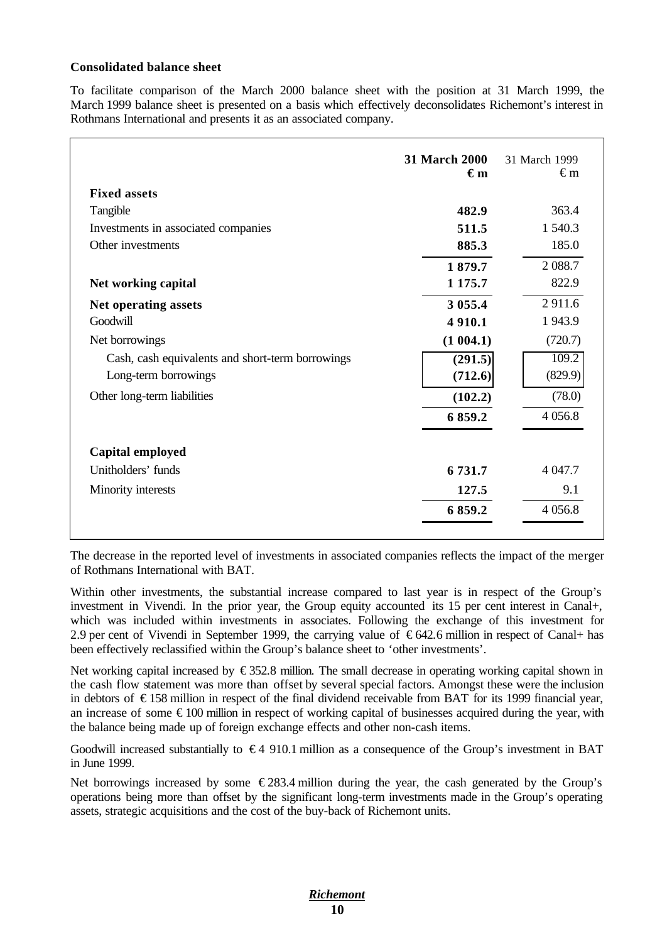#### **Consolidated balance sheet**

To facilitate comparison of the March 2000 balance sheet with the position at 31 March 1999, the March 1999 balance sheet is presented on a basis which effectively deconsolidates Richemont's interest in Rothmans International and presents it as an associated company.

| <b>Fixed assets</b>                              | <b>31 March 2000</b><br>€m | 31 March 1999<br>€m |
|--------------------------------------------------|----------------------------|---------------------|
| Tangible                                         | 482.9                      | 363.4               |
| Investments in associated companies              | 511.5                      | 1 540.3             |
| Other investments                                | 885.3                      | 185.0               |
|                                                  | 1879.7                     | 2 0 8 8.7           |
| Net working capital                              | 1 1 7 5 .7                 | 822.9               |
| Net operating assets                             | 3 0 5 5 .4                 | 2911.6              |
| Goodwill                                         | 4 9 10.1                   | 1 943.9             |
| Net borrowings                                   | (1004.1)                   | (720.7)             |
| Cash, cash equivalents and short-term borrowings | (291.5)                    | 109.2               |
| Long-term borrowings                             | (712.6)                    | (829.9)             |
| Other long-term liabilities                      | (102.2)                    | (78.0)              |
|                                                  | 6 859.2                    | 4 0 5 6.8           |
| Capital employed                                 |                            |                     |
| Unitholders' funds                               | 6 731.7                    | 4 047.7             |
| Minority interests                               | 127.5                      | 9.1                 |
|                                                  | 6 859.2                    | 4 0 5 6.8           |

The decrease in the reported level of investments in associated companies reflects the impact of the merger of Rothmans International with BAT.

Within other investments, the substantial increase compared to last year is in respect of the Group's investment in Vivendi. In the prior year, the Group equity accounted its 15 per cent interest in Canal+, which was included within investments in associates. Following the exchange of this investment for 2.9 per cent of Vivendi in September 1999, the carrying value of  $\epsilon$ 642.6 million in respect of Canal+ has been effectively reclassified within the Group's balance sheet to 'other investments'.

Net working capital increased by  $\epsilon$ 352.8 million. The small decrease in operating working capital shown in the cash flow statement was more than offset by several special factors. Amongst these were the inclusion in debtors of € 158 million in respect of the final dividend receivable from BAT for its 1999 financial year, an increase of some  $\epsilon$ 100 million in respect of working capital of businesses acquired during the year, with the balance being made up of foreign exchange effects and other non-cash items.

Goodwill increased substantially to  $\epsilon$ 4 910.1 million as a consequence of the Group's investment in BAT in June 1999.

Net borrowings increased by some  $\epsilon$ 283.4 million during the year, the cash generated by the Group's operations being more than offset by the significant long-term investments made in the Group's operating assets, strategic acquisitions and the cost of the buy-back of Richemont units.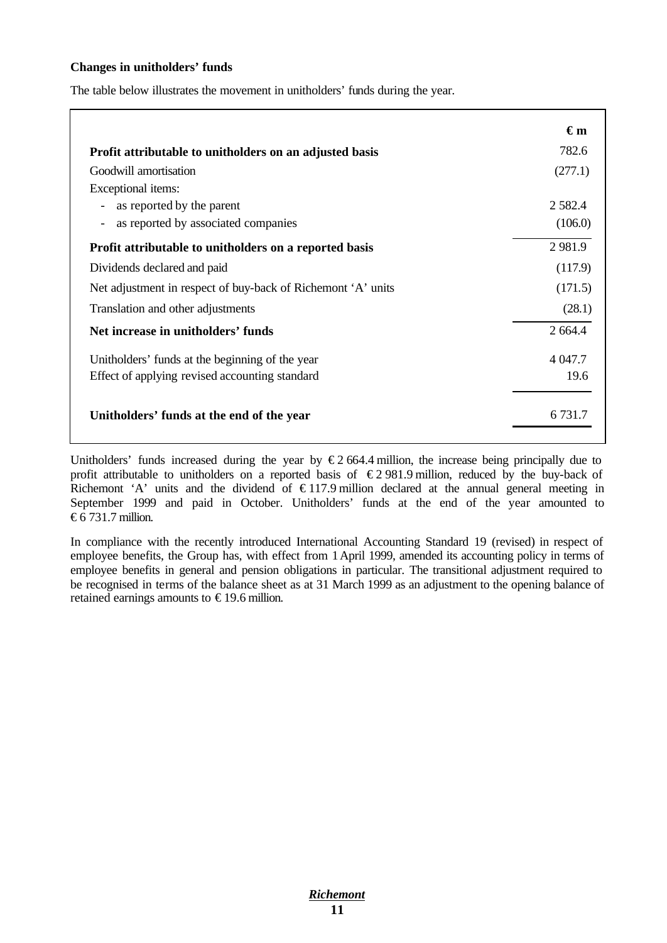#### **Changes in unitholders' funds**

The table below illustrates the movement in unitholders' funds during the year.

|                                                              | $\epsilon_{m}$ |
|--------------------------------------------------------------|----------------|
| Profit attributable to unitholders on an adjusted basis      | 782.6          |
| Goodwill amortisation                                        | (277.1)        |
| Exceptional items:                                           |                |
| as reported by the parent<br>$\qquad \qquad -$               | 2 5 8 2 . 4    |
| as reported by associated companies                          | (106.0)        |
| Profit attributable to unitholders on a reported basis       | 2 9 8 1.9      |
| Dividends declared and paid                                  | (117.9)        |
| Net adjustment in respect of buy-back of Richemont 'A' units | (171.5)        |
| Translation and other adjustments                            | (28.1)         |
| Net increase in unitholders' funds                           | 2 664.4        |
| Unitholders' funds at the beginning of the year              | 4 047.7        |
| Effect of applying revised accounting standard               | 19.6           |
| Unitholders' funds at the end of the year                    | 6.731.7        |

Unitholders' funds increased during the year by  $\epsilon$ 2 664.4 million, the increase being principally due to profit attributable to unitholders on a reported basis of  $\epsilon$ 2 981.9 million, reduced by the buy-back of Richemont 'A' units and the dividend of  $\epsilon$ 117.9 million declared at the annual general meeting in September 1999 and paid in October. Unitholders' funds at the end of the year amounted to € $6$  731.7 million.

In compliance with the recently introduced International Accounting Standard 19 (revised) in respect of employee benefits, the Group has, with effect from 1April 1999, amended its accounting policy in terms of employee benefits in general and pension obligations in particular. The transitional adjustment required to be recognised in terms of the balance sheet as at 31 March 1999 as an adjustment to the opening balance of retained earnings amounts to  $\epsilon$ 19.6 million.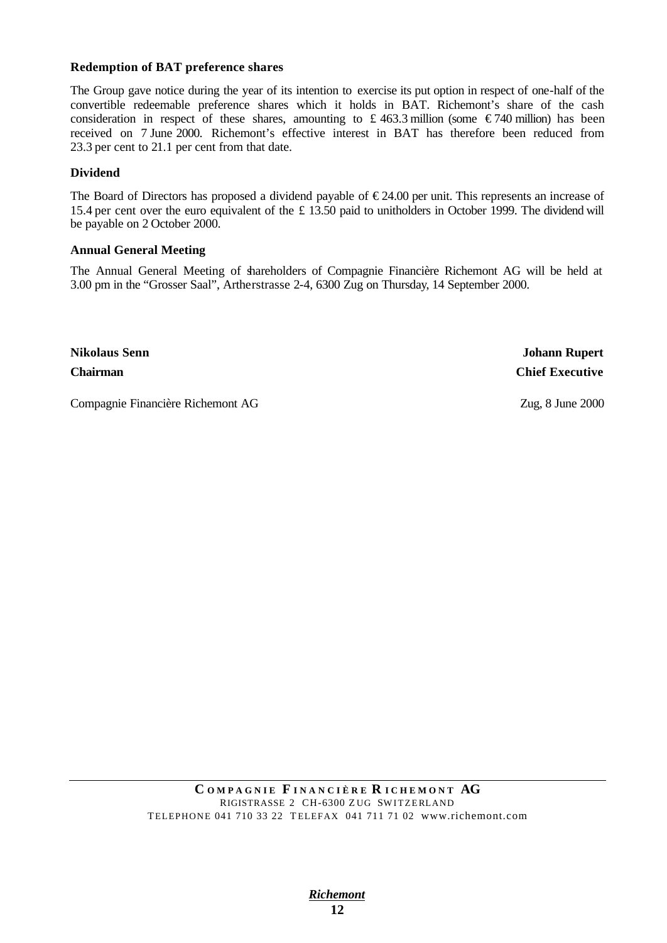#### **Redemption of BAT preference shares**

The Group gave notice during the year of its intention to exercise its put option in respect of one-half of the convertible redeemable preference shares which it holds in BAT. Richemont's share of the cash consideration in respect of these shares, amounting to £463.3 million (some  $\epsilon$ 740 million) has been received on 7 June 2000. Richemont's effective interest in BAT has therefore been reduced from 23.3 per cent to 21.1 per cent from that date.

#### **Dividend**

The Board of Directors has proposed a dividend payable of  $\epsilon$ 24.00 per unit. This represents an increase of 15.4 per cent over the euro equivalent of the £ 13.50 paid to unitholders in October 1999. The dividend will be payable on 2 October 2000.

#### **Annual General Meeting**

The Annual General Meeting of shareholders of Compagnie Financière Richemont AG will be held at 3.00 pm in the "Grosser Saal", Artherstrasse 2-4, 6300 Zug on Thursday, 14 September 2000.

**Nikolaus Senn Johann Rupert Chairman Chief Executive**

Compagnie Financière Richemont AG Zug, 8 June 2000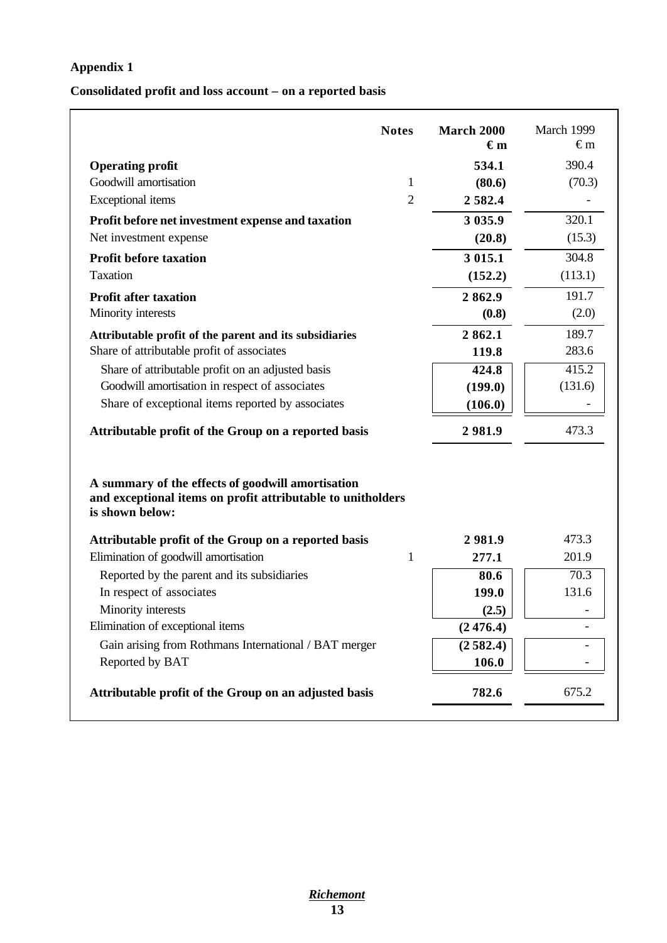## **Appendix 1**

## **Consolidated profit and loss account – on a reported basis**

|                                                                                                                                     | <b>Notes</b>   | <b>March 2000</b><br>$\epsilon_{\rm m}$ | March 1999<br>€m |
|-------------------------------------------------------------------------------------------------------------------------------------|----------------|-----------------------------------------|------------------|
| <b>Operating profit</b>                                                                                                             |                | 534.1                                   | 390.4            |
| Goodwill amortisation                                                                                                               | $\mathbf{1}$   | (80.6)                                  | (70.3)           |
| Exceptional items                                                                                                                   | $\overline{2}$ | 2582.4                                  |                  |
| Profit before net investment expense and taxation                                                                                   |                | 3 0 3 5 .9                              | 320.1            |
| Net investment expense                                                                                                              |                | (20.8)                                  | (15.3)           |
| <b>Profit before taxation</b>                                                                                                       |                | 3 015.1                                 | 304.8            |
| <b>Taxation</b>                                                                                                                     |                | (152.2)                                 | (113.1)          |
| <b>Profit after taxation</b>                                                                                                        |                | 2862.9                                  | 191.7            |
| Minority interests                                                                                                                  |                | (0.8)                                   | (2.0)            |
| Attributable profit of the parent and its subsidiaries                                                                              |                | 2862.1                                  | 189.7            |
| Share of attributable profit of associates                                                                                          |                | 119.8                                   | 283.6            |
| Share of attributable profit on an adjusted basis                                                                                   |                | 424.8                                   | 415.2            |
| Goodwill amortisation in respect of associates                                                                                      |                | (199.0)                                 | (131.6)          |
| Share of exceptional items reported by associates                                                                                   |                | (106.0)                                 |                  |
| Attributable profit of the Group on a reported basis                                                                                |                | 2981.9                                  | 473.3            |
| A summary of the effects of goodwill amortisation<br>and exceptional items on profit attributable to unitholders<br>is shown below: |                |                                         |                  |
| Attributable profit of the Group on a reported basis                                                                                |                | 2981.9                                  | 473.3            |
| Elimination of goodwill amortisation                                                                                                | 1              | 277.1                                   | 201.9            |
| Reported by the parent and its subsidiaries                                                                                         |                | 80.6                                    | 70.3             |
| In respect of associates                                                                                                            |                | 199.0                                   | 131.6            |
| Minority interests                                                                                                                  |                | (2.5)                                   |                  |
|                                                                                                                                     |                | (2476.4)                                |                  |
| Elimination of exceptional items                                                                                                    |                |                                         |                  |
| Gain arising from Rothmans International / BAT merger                                                                               |                | (2582.4)                                |                  |
| Reported by BAT                                                                                                                     |                | 106.0                                   |                  |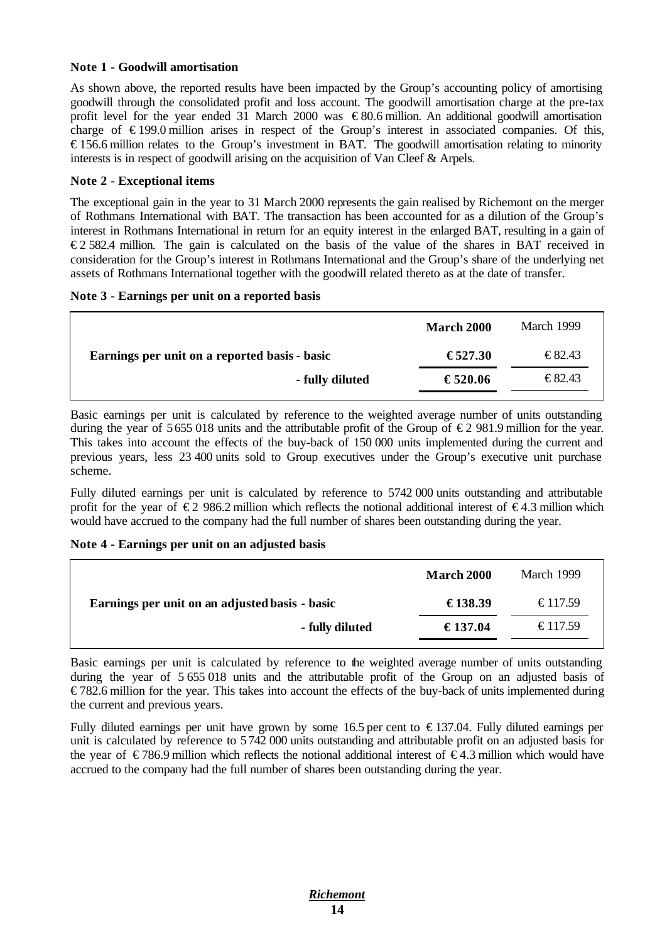#### **Note 1 - Goodwill amortisation**

As shown above, the reported results have been impacted by the Group's accounting policy of amortising goodwill through the consolidated profit and loss account. The goodwill amortisation charge at the pre-tax profit level for the year ended 31 March 2000 was  $\epsilon$ 80.6 million. An additional goodwill amortisation charge of  $\epsilon$ 199.0 million arises in respect of the Group's interest in associated companies. Of this, € 156.6 million relates to the Group's investment in BAT. The goodwill amortisation relating to minority interests is in respect of goodwill arising on the acquisition of Van Cleef & Arpels.

#### **Note 2 - Exceptional items**

The exceptional gain in the year to 31 March 2000 represents the gain realised by Richemont on the merger of Rothmans International with BAT. The transaction has been accounted for as a dilution of the Group's interest in Rothmans International in return for an equity interest in the enlarged BAT, resulting in a gain of € 2 582.4 million. The gain is calculated on the basis of the value of the shares in BAT received in consideration for the Group's interest in Rothmans International and the Group's share of the underlying net assets of Rothmans International together with the goodwill related thereto as at the date of transfer.

#### **Note 3 - Earnings per unit on a reported basis**

|                                               | <b>March 2000</b> | March 1999                       |
|-----------------------------------------------|-------------------|----------------------------------|
| Earnings per unit on a reported basis - basic | €527.30           | $\text{\textsterling}82.43$      |
| - fully diluted                               | €520.06           | $\textcolor{red}{\epsilon}82.43$ |

Basic earnings per unit is calculated by reference to the weighted average number of units outstanding during the year of 5655 018 units and the attributable profit of the Group of  $\epsilon$  2 981.9 million for the year. This takes into account the effects of the buy-back of 150 000 units implemented during the current and previous years, less 23 400 units sold to Group executives under the Group's executive unit purchase scheme.

Fully diluted earnings per unit is calculated by reference to 5742 000 units outstanding and attributable profit for the year of  $\epsilon$ 2 986.2 million which reflects the notional additional interest of  $\epsilon$ 4.3 million which would have accrued to the company had the full number of shares been outstanding during the year.

#### **Note 4 - Earnings per unit on an adjusted basis**

|                                                | <b>March 2000</b> | March 1999 |
|------------------------------------------------|-------------------|------------|
| Earnings per unit on an adjusted basis - basic | €138.39           | €117.59    |
| - fully diluted                                | €137.04           | €117.59    |

Basic earnings per unit is calculated by reference to the weighted average number of units outstanding during the year of 5 655 018 units and the attributable profit of the Group on an adjusted basis of € 782.6 million for the year. This takes into account the effects of the buy-back of units implemented during the current and previous years.

Fully diluted earnings per unit have grown by some 16.5 per cent to  $\epsilon$ 137.04. Fully diluted earnings per unit is calculated by reference to 5742 000 units outstanding and attributable profit on an adjusted basis for the year of  $\in$  786.9 million which reflects the notional additional interest of  $\in$  4.3 million which would have accrued to the company had the full number of shares been outstanding during the year.